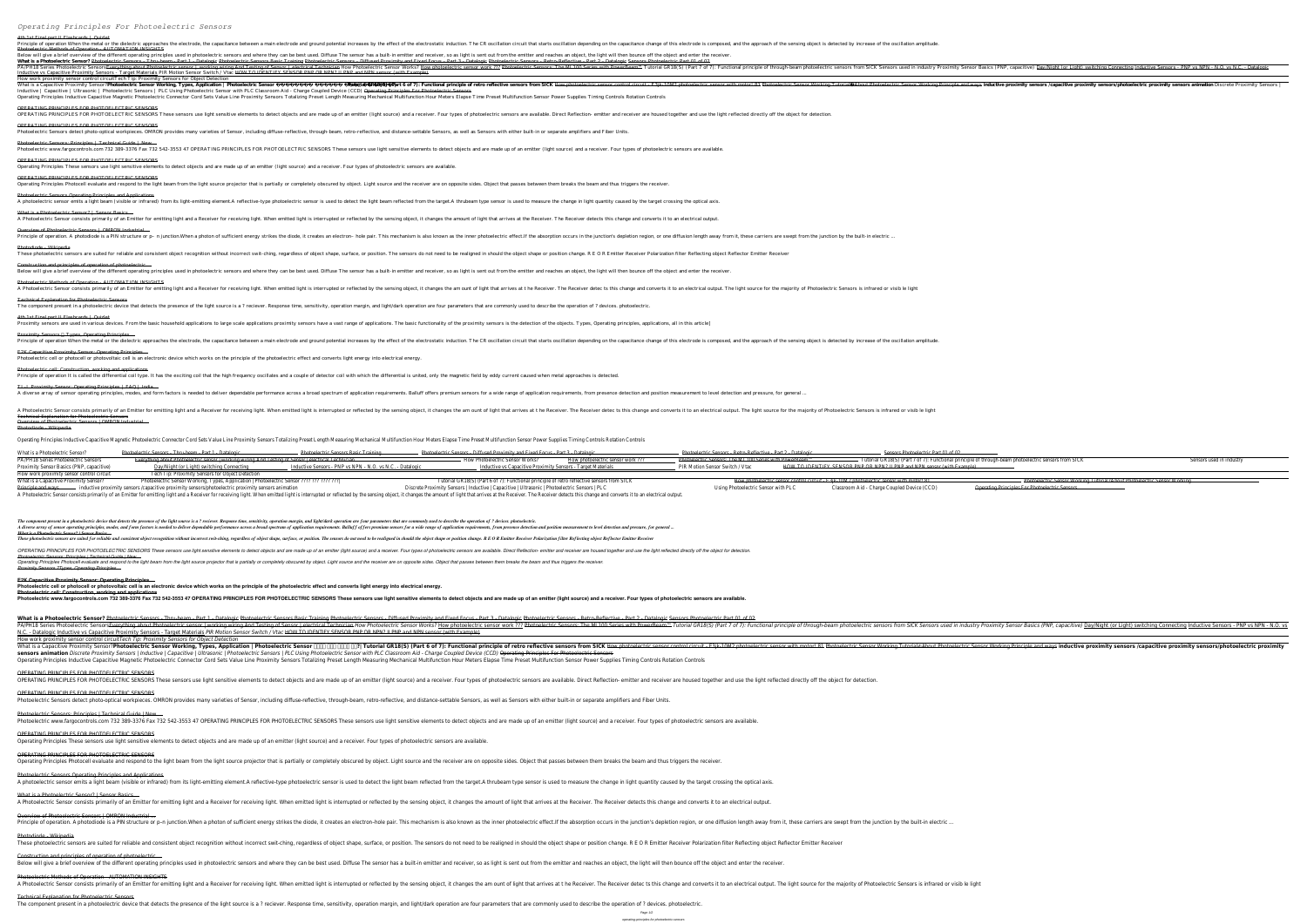*Operating Principles For Photoelectric Sensors*

## 4th 1st Final part II Flashcards | Quizlet

Principle of operation When the metal or the dielectric approaches the electrode, the capacitance between a main electrode and ground potential increases by the effect of the sensing opiect is detected by increase of the o Photoelectric Methods of Operation - AUTOMATION INSIGHTS

Below will give a brief overview of the different operating principles used in photoelectric sensors and where they can be best used. Diffuse The sensor has a built-in emitter and receiver, so as light is sent out from the What is a Photoelectric Sensor? Photoelectric Sensors - Thru-beam - Part 1 - Datalogic Photoelectric Sensors Basic Training Photoelectric Sensors - Diffused Proximity and Fixed Focus - Part 3 - Datalogic Photoelectric Sens PA/PH18 Series Photoelectric Sensors<del>Everything about Photoelectric sensor∣ working wiring And Testing wiring And Testing of Sensor∣ electrical Technician How Photoelectric Sensors: The ML100 Series with PowerBeam™ Tutori</del> Inductive vs Capacitive Proximity Sensors - Target Materials *PIR Motion Sensor Switch / Vtac* HOW TO IDENTIFY SENSOR PNP OR NPN? II PNP and NPN sensor (with Example) How work proximity sensor control circuit*Tech Tip: Proximity Sensors for Object Detection* 2 Tutorial GR18(S) (Part 6 of 7): Functional principle of retro reflective sensors from SICK How photoelectric Sensor Working Tutorial About Photoelectric Sensor Working Tutorial About Photoelectric Sensor Working Tutorial *Inductive | Capacitive | Ultrasonic | Photoelectric Sensors | PLC Using Photoelectric Sensor with PLC Classroom Aid - Charge Coupled Device (CCD)* Operating Principles For Photoelectric Sensors Operating Principles Inductive Capacitive Magnetic Photoelectric Connector Cord Sets Value Line Proximity Sensors Totalizing Preset Length Measuring Mechanical Multifunction Hour Meters Elapse Time Preset Multifunction Sen

OPERATING PRINCIPLES FOR PHOTOELECTRIC SENSORS These sensors use light sensitive elements to detect objects and are made up of an emitter (light source) and a receiver. Four types of photoelectric sensors are available. Di OPERATING PRINCIPLES FOR PHOTOELECTRIC SENSORS

Photoelectric Sensors detect photo-optical workpieces. OMRON provides many varieties of Sensor, including diffuse-reflective, through-beam, retro-reflective, and distance-settable Sensors, as well as Sensors with either bu Photoelectric Sensors: Principles | Technical Guide | New ...

Photoelectric www.fargocontrols.com 732 389-3376 Fax 732 542-3553 47 OPERATING PRINCIPLES FOR PHOTOELECTRIC SENSORS These sensors use light sensitive elements to detect objects and are made up of an emitter (light source) OPERATING PRINCIPLES FOR PHOTOELECTRIC SENSORS

OPERATING PRINCIPLES FOR PHOTOELECTRIC SENSORS Operating Principles Photocell evaluate and respond to the light beam from the light source projector that is partially or completely obscured by object. Light source and the receiver are on opposite sides. Object that pas

Photoelectric Sensors Operating Principles and Applications A photoelectric sensor emits a light beam (visible or infrared) from its light-emitting element.A reflective-type photoelectric sensor is used to detect the light beam reflected from the target.A thrubeam type sensor is us

What is a Photoelectric Sensor? | Sensor Basics ...

OPERATING PRINCIPLES FOR PHOTOELECTRIC SENSORS

These photoelectric sensors are suited for reliable and consistent object recognition without incorrect swit-ching, regardless of object shape, surface, or position change. R E O R Emitter Receiver Polarization filter Refl Construction and principles of operation of photoelectric ...

Below will give a brief overview of the different operating principles used in photoelectric sensors and where they can be best used. Diffuse The sensor has a built-in emitter and receiver, so as light is sent out from the

The component present in a photoelectric device that detects the presence of the light source is a? reciever. Response time, sensitivity, operation are four parameters that are commonly used to describe the operation of ? 4th 1st Final part II Flashcards | Quizlet

Proximity sensors are used in various devices. From the basic household applications to large scale applications proximity sensors have a vast range of applications. The basic functionality of the proximity sensors is the Proximity Sensors Types, Operating Principles ...

Principle of operation When the metal or the dielectric approaches the electrode, the capacitance between a main electrode and ground potential increases by the effect of the sensing opiect is detected by increase of the o E2K Capacitive Proximity Sensor: Operating Principles ...

Photoelectric cell or photocell or photovoltaic cell is an electronic device which works on the principle of the photoelectric effect and converts light energy into electrical energy

Operating Principles These sensors use light sensitive elements to detect objects and are made up of an emitter (light source) and a receiver. Four types of photoelectric sensors are available.

Photoelectric cell: Construction, working and applications Principle of operation It is called the differential coil type. It has the exciting coil that the high frequency oscillates and a couple of detector coil with which the differential is united, only the magnetic field by ed

TL-L Proximity Sensor: Operating Principles | FAQ | India ... A diverse array of sensor operating principles, modes, and form factors is needed to deliver dependable performance across a broad spectrum of application requirements. Balluff offers premium sensors for a wide range of ap

A Photoelectric Sensor consists primarily of an Emitter for emitting light and a Receiver for receiver for receiver for receiving light. When emitted light is interrupted or reflected by the sensing obiect, it changes the Technical Explanation for Photoelectric Sensors Overview of Photoelectric Sensors | OMRON Industrial ...

Overview of Photoelectric Sensors | OMRON Industrial ...

Principle of operation. A photodiode is a PIN structure or p– n junction.When a photon of sufficient energy strikes the diode, it creates an electron- hole pair. This mechanism is also known as the inner photoelectric effe

Photodiode Wikipedia

The component present in a photoelectric device that detects the presence of the light source is a? reciever. Response time, sensitivity, operation margin, and light/dark operation are four parameters that are commonly use A diverse array of sensor operating principles, modes, and form factors is needed to deliver dependable performance across a broad spectrum of application requirements, from presence detection and position measurement to l *What is a Photoelectric Sensor? | Sensor Basics ...*

Photoelectric Methods of Operation - AUTOMATION INSIGHTS A Photoelectric Sensor consists primarily of an Emitter for emitting light and a Receiver for receiving light. When emitted light is interrupted or reflected by the sensing object, it changes and converts it to an electric Technical Explanation for Photoelectric Sensors

**Photoelectric cell or photocell or photovoltaic cell is an electronic device which works on the principle of the photoelectric effect and converts light energy into electrical energy. Photoelectric cell: Construction, working and applications** Photoelectric www.fargocontrols.com 732 389-3376 Fax 732 542-3553 47 OPERATING PRINCIPLES FOR PHOTOELECTRIC SENSORS These sensors use light sensitive elements to detect objects and are made up of an emitter (light source)

What is a Photoelectric Sensor? Photoelectric Sensors - Thru-beam - Part 1 - Datalogic Photoelectric Sensors Basic Training Photoelectric Sensors - Diffused Proximity and Fixed Focus - Part 3 - Datalogic Photoelectric Sens PA/PH18 Series Photoelectric Sensors<del>Everything about Photoelectric sensor | working wiring And Testing wiring And Testing of Sensor | electrical Technician How Photoelectric Sensors (PNP, capacitive) <u>Day/Night (or Light</del></u> N.C. - Datalogic Inductive vs Capacitive Proximity Sensors - Target Materials *PIR Motion Sensor Switch / Vtac* HOW TO IDENTIFY SENSOR PNP OR NPN? II PNP and NPN sensor (with Example) How work proximity sensor control circuit*Tech Tip: Proximity Sensors for Object Detection* What is a Capacitive Proximity Sensor?**Photoelectric Sensor Working, Types, Application | Photoelectric Sensor कैसे काम करता है?| Tutorial GR18(S) (Part 6 of 7): Functional principle of retro reflective sensors from SICK** How photoelectric sensor control circuit - E3jk-10M2 photoelectric sensor with motor! 81 Photoelectric Sensor Working Tutorial✍About Photoelectric Sensor Working Principle and ways **inductive proximity sensors /capacitive proximity sensors/photoelectric proximity**

sensors animation Discrete Proximity Sensors | Inductive | Capacitive | Ultrasonic | Photoelectric Sensors | PLC Using Photoelectric Sensor with PLC Classroom Aid - Charge Coupled Device (CCD) Operating Principles For Phot Operating Principles Inductive Capacitive Magnetic Photoelectric Connector Cord Sets Value Line Proximity Sensors Totalizing Preset Length Measuring Mechanical Multifunction Hour Meters Elapse Time Preset Multifunction Sen OPERATING PRINCIPLES FOR PHOTOELECTRIC SENSORS

OPERATING PRINCIPLES FOR PHOTOELECTRIC SENSORS These sensors use light sensitive elements to detect objects and are made up of an emitter (light source) and a receiver. Four types of photoelectric sensors are available. Di

OPERATING PRINCIPLES FOR PHOTOELECTRIC SENSORS Photoelectric Sensors detect photo-optical workpieces. OMRON provides many varieties of Sensor, including diffuse-reflective, through-beam, retro-reflective, and distance-settable Sensors, as well as Sensors with either bu

Photoelectric Sensors: Principles | Technical Guide | New ... Photoelectric www.fargocontrols.com 732 389-3376 Fax 732 542-3553 47 OPERATING PRINCIPLES FOR PHOTOELECTRIC SENSORS These sensors use light sensitive elements to detect objects and are made up of an emitter (light source)

OPERATING PRINCIPLES FOR PHOTOELECTRIC SENSORS Operating Principles Photocell evaluate and respond to the light beam from the light source projector that is partially or completely obscured by object. Light source and the receiver are on opposite sides. Object that pas

Photoelectric Sensors Operating Principles and Applications A photoelectric sensor emits a light beam (visible or infrared) from its light-emitting element.A reflective-type photoelectric sensor is used to detect the light beam reflected from the target.A thrubeam type sensor is us

What is a Photoelectric Sensor? | Sensor Basics ... A Photoelectric Sensor consists primarily of an Emitter for emitting light and a Receiver for receiving light. When emitted light is interrupted or reflected by the sensing object, it changes the amount of light that arriv

Overview of Photoelectric Sensors | OMRON Industrial ... Principle of operation. A photodiode is a PIN structure or p–n junction. When a photon of sufficient energy strikes the diode, it creates an electron-hole pair. This mechanism is also known as the inner photoelectric effec

Photodiode - Wikipedia

Operating Principles Inductive Capacitive Magnetic Photoelectric Connector Cord Sets Value Line Proximity Sensors Totalizing Preset Length Measuring Mechanical Multifunction Hour Meters Elapse Time Preset Multifunction Sen What is a Photoelectric Sensor? Photoelectric Sensors - Thru-beam - Part 1 - Datalogic Proximity and Fixed Focus - Photoelectric Sensors - Bhotoelectric Sensors - Bhotoelectric Sensors - Bhotoelectric Sensors - Bhotoelectr

PA/PH18 Series Photoelectric Sensors Everything about Photoelectric sensor | working wiring And Testing of Sensor | electrical Technician → Tutorial GR18(S) (Part 7 of 7): Functional principle of through-beam photoelectri Day/Night (or Light) switching Connecting Connecting Connecting Inductive Sensors - PNP vs NPN - N.O. vs N.C. - Datalogic Proximity Sensors - Target Materials Proximity Sensors - Target Materials PIR Motion Sensor Switch / How work proximity sensor control circuit Tech Tip: Proximity Sensors for Object Detection

Tutorial GR18(S) (Part 6 of 7): Functional principle of retro reflective sensor Since it euit - E3jk-10M2 photoelectric Sensor with motor! 81 Photoelectric Sensor Working Tutorial GR18(S) (Part 6 of 7): Functional principl Discrete Proximity Sensors /capacitive proximity sensors /capacitive proximity sensors/photoelectric proximity sensors /photoelectric proximity sensors animation Ultrasonic | Photoelectric Sensor with PLC Ultrasonic | Phot A Photoelectric Sensor consists primarily of an Emitter for emitting light and a Receiver for receiving light. When emitted light is interrupted or reflected by the sensing object, it changes the amount of light that arriv

Photodiode - Wikipedia These photoelectric sensors are suited for reliable and consistent object recognition without incorrect swit-ching, regardless of object shape, surface, or position change. R E O R Emitter Receiver Polarization filter Refl

Construction and principles of operation of photoelectric ... Below will give a brief overview of the different operating principles used in photoelectric sensors and where they can be best used. Diffuse The sensor has a built-in emitter and receiver, so as light is sent out from the

Photoelectric Methods of Operation - AUTOMATION INSIGHTS A Photoelectric Sensor consists primarily of an Emitter for emitting light and a Receiver for receiver for receiver for receiving light. When emitted light is interrupted or reflected by the sensing object, it changes the

*Photoelectric Sensors: Principles | Technical Guide | New ...* Operating Principles Photocell evaluate and respond to the light beam from the light source projector that is partially or completely obscured by object. Light source and the receiver are on opposite sides. Object that pas *Proximity Sensors ?Types, Operating Principles ...*

**E2K Capacitive Proximity Sensor: Operating Principles ...**

OPERATING PRINCIPLES FOR PHOTOELECTRIC SENSORS Operating Principles These sensors use light sensitive elements to detect objects and are made up of an emitter (light source) and a receiver. Four types of photoelectric sensors are available.

Technical Explanation for Photoelectric Sensors The component present in a photoelectric device that detects the presence of the light source is a? reciever. Response time, sensitivity, operation are four parameters that are commonly used to describe the operation of ? Page 1/2

A Photoelectric Sensor consists primarily of an Emitter for emitting light and a Receiver for receiving light. When emitted light is interrupted or reflected by the sensing object, it changes the amount of light that arriv

These photoelectric sensors are suited for reliable and consistent object recognition without incorrect swit-ching, regardless of object shape, surface, or position. The sensors do not need to be realigned in should the ob

OPERATING PRINCIPLES FOR PHOTOELECTRIC SENSORS These sensors use light sensitive elements to detect objects and are made up of an emitter (light source) and a receiver. Four types of photoelectric sensors are available. Di